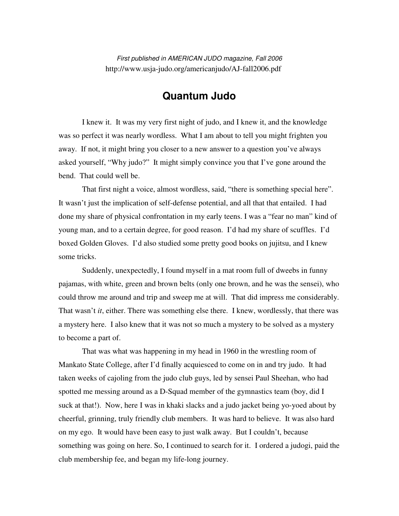First published in AMERICAN JUDO magazine, Fall 2006 http://www.usja-judo.org/americanjudo/AJ-fall2006.pdf

## **Quantum Judo**

 I knew it. It was my very first night of judo, and I knew it, and the knowledge was so perfect it was nearly wordless. What I am about to tell you might frighten you away. If not, it might bring you closer to a new answer to a question you've always asked yourself, "Why judo?" It might simply convince you that I've gone around the bend. That could well be.

 That first night a voice, almost wordless, said, "there is something special here". It wasn't just the implication of self-defense potential, and all that that entailed. I had done my share of physical confrontation in my early teens. I was a "fear no man" kind of young man, and to a certain degree, for good reason. I'd had my share of scuffles. I'd boxed Golden Gloves. I'd also studied some pretty good books on jujitsu, and I knew some tricks.

Suddenly, unexpectedly, I found myself in a mat room full of dweebs in funny pajamas, with white, green and brown belts (only one brown, and he was the sensei), who could throw me around and trip and sweep me at will. That did impress me considerably. That wasn't *it*, either. There was something else there. I knew, wordlessly, that there was a mystery here. I also knew that it was not so much a mystery to be solved as a mystery to become a part of.

 That was what was happening in my head in 1960 in the wrestling room of Mankato State College, after I'd finally acquiesced to come on in and try judo. It had taken weeks of cajoling from the judo club guys, led by sensei Paul Sheehan, who had spotted me messing around as a D-Squad member of the gymnastics team (boy, did I suck at that!). Now, here I was in khaki slacks and a judo jacket being yo-yoed about by cheerful, grinning, truly friendly club members. It was hard to believe. It was also hard on my ego. It would have been easy to just walk away. But I couldn't, because something was going on here. So, I continued to search for it. I ordered a judogi, paid the club membership fee, and began my life-long journey.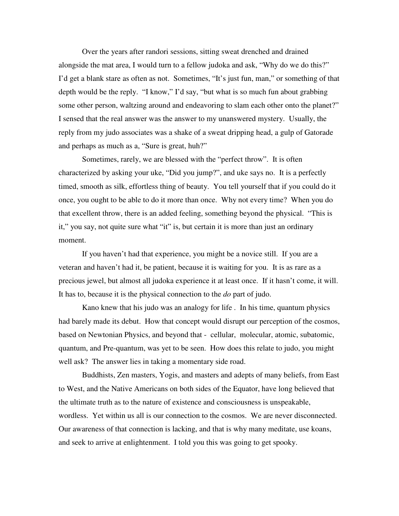Over the years after randori sessions, sitting sweat drenched and drained alongside the mat area, I would turn to a fellow judoka and ask, "Why do we do this?" I'd get a blank stare as often as not. Sometimes, "It's just fun, man," or something of that depth would be the reply. "I know," I'd say, "but what is so much fun about grabbing some other person, waltzing around and endeavoring to slam each other onto the planet?" I sensed that the real answer was the answer to my unanswered mystery. Usually, the reply from my judo associates was a shake of a sweat dripping head, a gulp of Gatorade and perhaps as much as a, "Sure is great, huh?"

 Sometimes, rarely, we are blessed with the "perfect throw". It is often characterized by asking your uke, "Did you jump?", and uke says no. It is a perfectly timed, smooth as silk, effortless thing of beauty. You tell yourself that if you could do it once, you ought to be able to do it more than once. Why not every time? When you do that excellent throw, there is an added feeling, something beyond the physical. "This is it," you say, not quite sure what "it" is, but certain it is more than just an ordinary moment.

 If you haven't had that experience, you might be a novice still. If you are a veteran and haven't had it, be patient, because it is waiting for you. It is as rare as a precious jewel, but almost all judoka experience it at least once. If it hasn't come, it will. It has to, because it is the physical connection to the *do* part of judo.

 Kano knew that his judo was an analogy for life . In his time, quantum physics had barely made its debut. How that concept would disrupt our perception of the cosmos, based on Newtonian Physics, and beyond that - cellular, molecular, atomic, subatomic, quantum, and Pre-quantum, was yet to be seen. How does this relate to judo, you might well ask? The answer lies in taking a momentary side road.

 Buddhists, Zen masters, Yogis, and masters and adepts of many beliefs, from East to West, and the Native Americans on both sides of the Equator, have long believed that the ultimate truth as to the nature of existence and consciousness is unspeakable, wordless. Yet within us all is our connection to the cosmos. We are never disconnected. Our awareness of that connection is lacking, and that is why many meditate, use koans, and seek to arrive at enlightenment. I told you this was going to get spooky.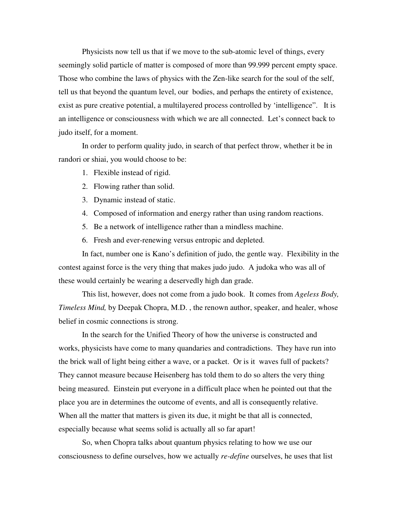Physicists now tell us that if we move to the sub-atomic level of things, every seemingly solid particle of matter is composed of more than 99.999 percent empty space. Those who combine the laws of physics with the Zen-like search for the soul of the self, tell us that beyond the quantum level, our bodies, and perhaps the entirety of existence, exist as pure creative potential, a multilayered process controlled by 'intelligence". It is an intelligence or consciousness with which we are all connected. Let's connect back to judo itself, for a moment.

 In order to perform quality judo, in search of that perfect throw, whether it be in randori or shiai, you would choose to be:

- 1. Flexible instead of rigid.
- 2. Flowing rather than solid.
- 3. Dynamic instead of static.
- 4. Composed of information and energy rather than using random reactions.
- 5. Be a network of intelligence rather than a mindless machine.
- 6. Fresh and ever-renewing versus entropic and depleted.

In fact, number one is Kano's definition of judo, the gentle way. Flexibility in the contest against force is the very thing that makes judo judo. A judoka who was all of these would certainly be wearing a deservedly high dan grade.

This list, however, does not come from a judo book. It comes from *Ageless Body, Timeless Mind,* by Deepak Chopra, M.D. , the renown author, speaker, and healer, whose belief in cosmic connections is strong.

In the search for the Unified Theory of how the universe is constructed and works, physicists have come to many quandaries and contradictions. They have run into the brick wall of light being either a wave, or a packet. Or is it waves full of packets? They cannot measure because Heisenberg has told them to do so alters the very thing being measured. Einstein put everyone in a difficult place when he pointed out that the place you are in determines the outcome of events, and all is consequently relative. When all the matter that matters is given its due, it might be that all is connected, especially because what seems solid is actually all so far apart!

So, when Chopra talks about quantum physics relating to how we use our consciousness to define ourselves, how we actually *re-define* ourselves, he uses that list